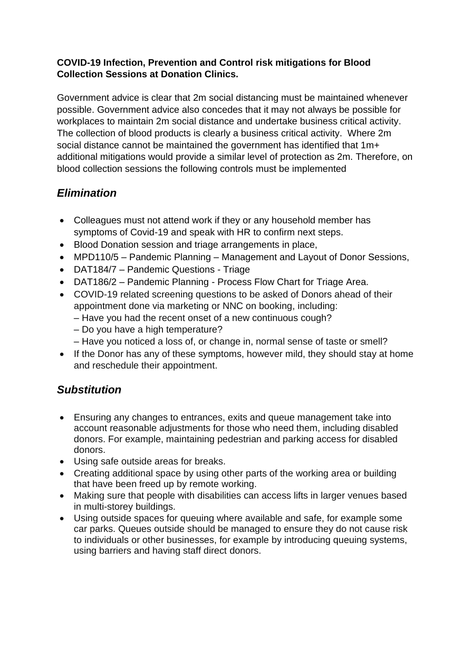#### **COVID-19 Infection, Prevention and Control risk mitigations for Blood Collection Sessions at Donation Clinics.**

Government advice is clear that 2m social distancing must be maintained whenever possible. Government advice also concedes that it may not always be possible for workplaces to maintain 2m social distance and undertake business critical activity. The collection of blood products is clearly a business critical activity. Where 2m social distance cannot be maintained the government has identified that 1m+ additional mitigations would provide a similar level of protection as 2m. Therefore, on blood collection sessions the following controls must be implemented

# *Elimination*

- Colleagues must not attend work if they or any household member has symptoms of Covid-19 and speak with HR to confirm next steps.
- Blood Donation session and triage arrangements in place,
- MPD110/5 Pandemic Planning Management and Layout of Donor Sessions,
- DAT184/7 Pandemic Questions Triage
- DAT186/2 Pandemic Planning Process Flow Chart for Triage Area.
- COVID-19 related screening questions to be asked of Donors ahead of their appointment done via marketing or NNC on booking, including:
	- Have you had the recent onset of a new continuous cough?
	- Do you have a high temperature?
	- Have you noticed a loss of, or change in, normal sense of taste or smell?
- If the Donor has any of these symptoms, however mild, they should stay at home and reschedule their appointment.

### *Substitution*

- Ensuring any changes to entrances, exits and queue management take into account reasonable adjustments for those who need them, including disabled donors. For example, maintaining pedestrian and parking access for disabled donors.
- Using safe outside areas for breaks.
- Creating additional space by using other parts of the working area or building that have been freed up by remote working.
- Making sure that people with disabilities can access lifts in larger venues based in multi-storey buildings.
- Using outside spaces for queuing where available and safe, for example some car parks. Queues outside should be managed to ensure they do not cause risk to individuals or other businesses, for example by introducing queuing systems, using barriers and having staff direct donors.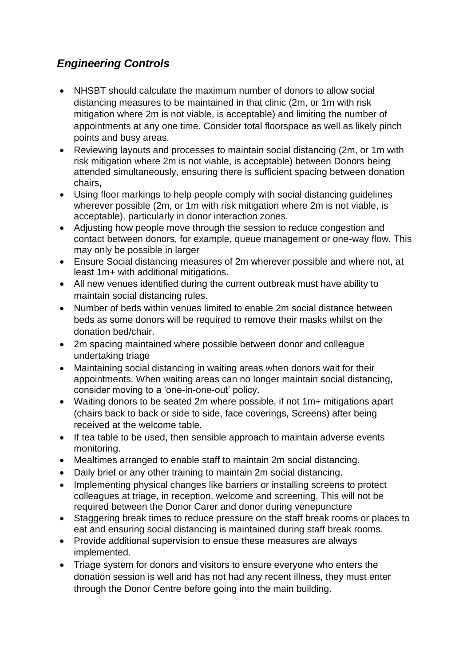# *Engineering Controls*

- NHSBT should calculate the maximum number of donors to allow social distancing measures to be maintained in that clinic (2m, or 1m with risk mitigation where 2m is not viable, is acceptable) and limiting the number of appointments at any one time. Consider total floorspace as well as likely pinch points and busy areas.
- Reviewing layouts and processes to maintain social distancing (2m, or 1m with risk mitigation where 2m is not viable, is acceptable) between Donors being attended simultaneously, ensuring there is sufficient spacing between donation chairs,
- Using floor markings to help people comply with social distancing guidelines wherever possible (2m, or 1m with risk mitigation where 2m is not viable, is acceptable). particularly in donor interaction zones.
- Adjusting how people move through the session to reduce congestion and contact between donors, for example, queue management or one-way flow. This may only be possible in larger
- Ensure Social distancing measures of 2m wherever possible and where not, at least 1m+ with additional mitigations.
- All new venues identified during the current outbreak must have ability to maintain social distancing rules.
- Number of beds within venues limited to enable 2m social distance between beds as some donors will be required to remove their masks whilst on the donation bed/chair.
- 2m spacing maintained where possible between donor and colleague undertaking triage
- Maintaining social distancing in waiting areas when donors wait for their appointments. When waiting areas can no longer maintain social distancing, consider moving to a 'one-in-one-out' policy.
- Waiting donors to be seated 2m where possible, if not 1m+ mitigations apart (chairs back to back or side to side, face coverings, Screens) after being received at the welcome table.
- If tea table to be used, then sensible approach to maintain adverse events monitoring.
- Mealtimes arranged to enable staff to maintain 2m social distancing.
- Daily brief or any other training to maintain 2m social distancing.
- Implementing physical changes like barriers or installing screens to protect colleagues at triage, in reception, welcome and screening. This will not be required between the Donor Carer and donor during venepuncture
- Staggering break times to reduce pressure on the staff break rooms or places to eat and ensuring social distancing is maintained during staff break rooms.
- Provide additional supervision to ensue these measures are always implemented.
- Triage system for donors and visitors to ensure everyone who enters the donation session is well and has not had any recent illness, they must enter through the Donor Centre before going into the main building.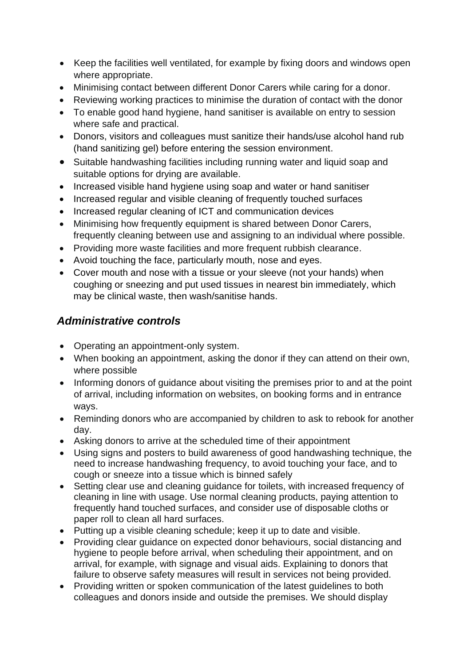- Keep the facilities well ventilated, for example by fixing doors and windows open where appropriate.
- Minimising contact between different Donor Carers while caring for a donor.
- Reviewing working practices to minimise the duration of contact with the donor
- To enable good hand hygiene, hand sanitiser is available on entry to session where safe and practical.
- Donors, visitors and colleagues must sanitize their hands/use alcohol hand rub (hand sanitizing gel) before entering the session environment.
- Suitable handwashing facilities including running water and liquid soap and suitable options for drying are available.
- Increased visible hand hygiene using soap and water or hand sanitiser
- Increased regular and visible cleaning of frequently touched surfaces
- Increased regular cleaning of ICT and communication devices
- Minimising how frequently equipment is shared between Donor Carers, frequently cleaning between use and assigning to an individual where possible.
- Providing more waste facilities and more frequent rubbish clearance.
- Avoid touching the face, particularly mouth, nose and eyes.
- Cover mouth and nose with a tissue or your sleeve (not your hands) when coughing or sneezing and put used tissues in nearest bin immediately, which may be clinical waste, then wash/sanitise hands.

# *Administrative controls*

- Operating an appointment-only system.
- When booking an appointment, asking the donor if they can attend on their own, where possible
- Informing donors of guidance about visiting the premises prior to and at the point of arrival, including information on websites, on booking forms and in entrance ways.
- Reminding donors who are accompanied by children to ask to rebook for another day.
- Asking donors to arrive at the scheduled time of their appointment
- Using signs and posters to build awareness of good handwashing technique, the need to increase handwashing frequency, to avoid touching your face, and to cough or sneeze into a tissue which is binned safely
- Setting clear use and cleaning guidance for toilets, with increased frequency of cleaning in line with usage. Use normal cleaning products, paying attention to frequently hand touched surfaces, and consider use of disposable cloths or paper roll to clean all hard surfaces.
- Putting up a visible cleaning schedule; keep it up to date and visible.
- Providing clear guidance on expected donor behaviours, social distancing and hygiene to people before arrival, when scheduling their appointment, and on arrival, for example, with signage and visual aids. Explaining to donors that failure to observe safety measures will result in services not being provided.
- Providing written or spoken communication of the latest guidelines to both colleagues and donors inside and outside the premises. We should display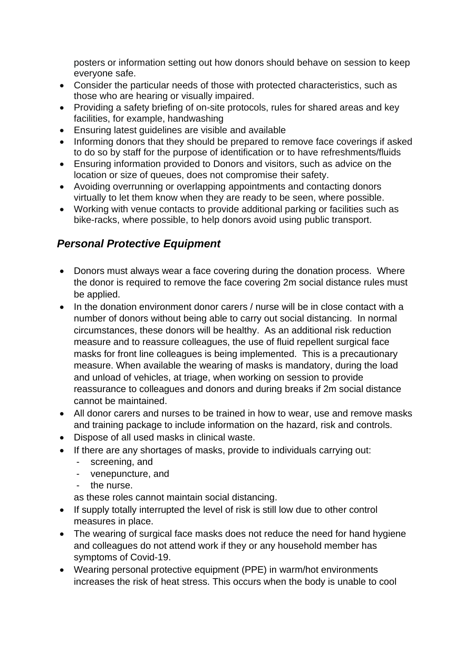posters or information setting out how donors should behave on session to keep everyone safe.

- Consider the particular needs of those with protected characteristics, such as those who are hearing or visually impaired.
- Providing a safety briefing of on-site protocols, rules for shared areas and key facilities, for example, handwashing
- Ensuring latest guidelines are visible and available
- Informing donors that they should be prepared to remove face coverings if asked to do so by staff for the purpose of identification or to have refreshments/fluids
- Ensuring information provided to Donors and visitors, such as advice on the location or size of queues, does not compromise their safety.
- Avoiding overrunning or overlapping appointments and contacting donors virtually to let them know when they are ready to be seen, where possible.
- Working with venue contacts to provide additional parking or facilities such as bike-racks, where possible, to help donors avoid using public transport.

# *Personal Protective Equipment*

- Donors must always wear a face covering during the donation process. Where the donor is required to remove the face covering 2m social distance rules must be applied.
- In the donation environment donor carers / nurse will be in close contact with a number of donors without being able to carry out social distancing. In normal circumstances, these donors will be healthy. As an additional risk reduction measure and to reassure colleagues, the use of fluid repellent surgical face masks for front line colleagues is being implemented. This is a precautionary measure. When available the wearing of masks is mandatory, during the load and unload of vehicles, at triage, when working on session to provide reassurance to colleagues and donors and during breaks if 2m social distance cannot be maintained.
- All donor carers and nurses to be trained in how to wear, use and remove masks and training package to include information on the hazard, risk and controls.
- Dispose of all used masks in clinical waste.
- If there are any shortages of masks, provide to individuals carrying out:
	- screening, and
	- venepuncture, and
	- the nurse.
	- as these roles cannot maintain social distancing.
- If supply totally interrupted the level of risk is still low due to other control measures in place.
- The wearing of surgical face masks does not reduce the need for hand hygiene and colleagues do not attend work if they or any household member has symptoms of Covid-19.
- Wearing personal protective equipment (PPE) in warm/hot environments increases the risk of heat stress. This occurs when the body is unable to cool